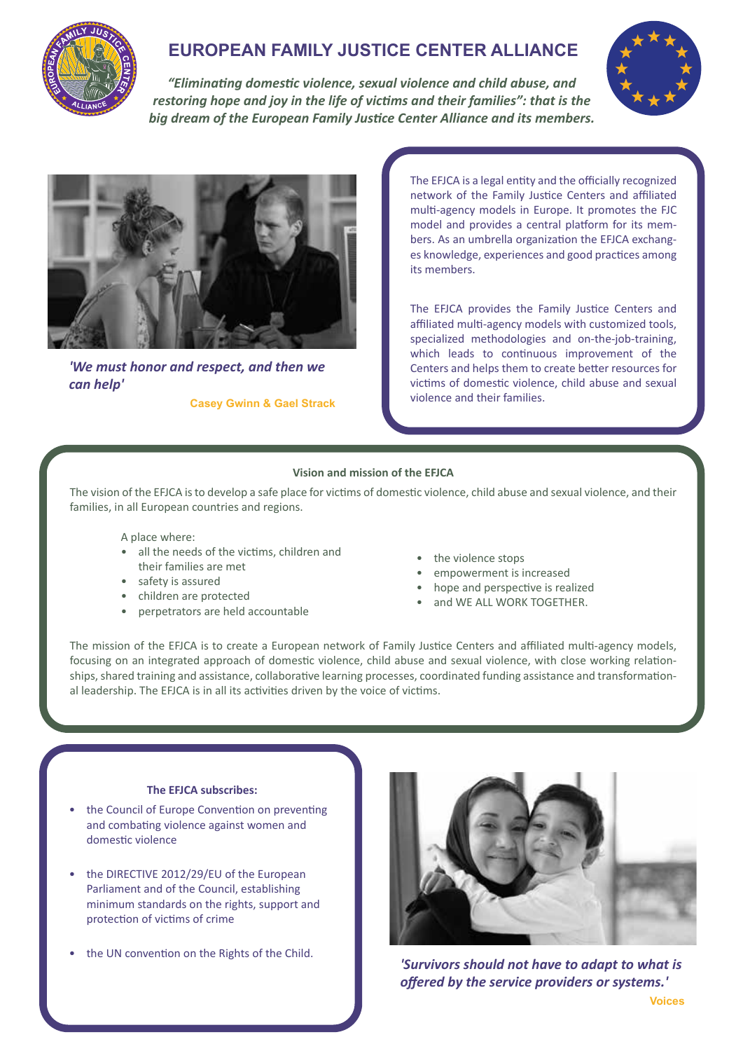

# **EUROPEAN FAMILY JUSTICE CENTER ALLIANCE**

*"Eliminating domestic violence, sexual violence and child abuse, and restoring hope and joy in the life of victims and their families": that is the big dream of the European Family Justice Center Alliance and its members.*





*'We must honor and respect, and then we can help'*

**Casey Gwinn & Gael Strack**

The EFJCA is a legal entity and the officially recognized network of the Family Justice Centers and affiliated multi-agency models in Europe. It promotes the FJC model and provides a central platform for its members. As an umbrella organization the EFJCA exchanges knowledge, experiences and good practices among its members.

The EFJCA provides the Family Justice Centers and affiliated multi-agency models with customized tools, specialized methodologies and on-the-job-training, which leads to continuous improvement of the Centers and helps them to create better resources for victims of domestic violence, child abuse and sexual violence and their families.

### **Vision and mission of the EFJCA**

The vision of the EFJCA is to develop a safe place for victims of domestic violence, child abuse and sexual violence, and their families, in all European countries and regions.

A place where:

- all the needs of the victims, children and their families are met
- safety is assured
- children are protected
- perpetrators are held accountable
- the violence stops
- empowerment is increased
- hope and perspective is realized
- and WE ALL WORK TOGETHER.

The mission of the EFJCA is to create a European network of Family Justice Centers and affiliated multi-agency models, focusing on an integrated approach of domestic violence, child abuse and sexual violence, with close working relationships, shared training and assistance, collaborative learning processes, coordinated funding assistance and transformational leadership. The EFJCA is in all its activities driven by the voice of victims.

### **The EFJCA subscribes:**

- the Council of Europe Convention on preventing and combating violence against women and domestic violence
- the DIRECTIVE 2012/29/EU of the European Parliament and of the Council, establishing minimum standards on the rights, support and protection of victims of crime
- the UN convention on the Rights of the Child.



*'Survivors should not have to adapt to what is offered by the service providers or systems.'*  **Voices**